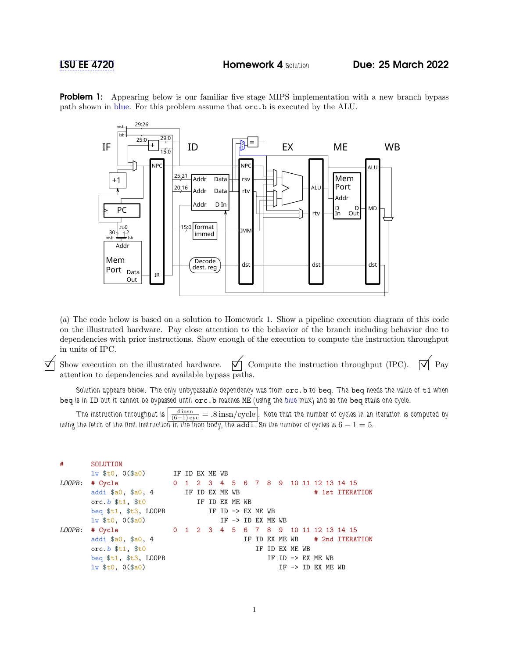

**Problem 1:** Appearing below is our familiar five stage MIPS implementation with a new branch bypass path shown in blue. For this problem assume that orc.b is executed by the ALU.

(a) The code below is based on a solution to Homework 1. Show a pipeline execution diagram of this code on the illustrated hardware. Pay close attention to the behavior of the branch including behavior due to dependencies with prior instructions. Show enough of the execution to compute the instruction throughput in units of IPC.

 $\Sigma$  Show execution on the illustrated hardware.  $\Sigma$  Compute the instruction throughput (IPC).  $\Sigma$  Pay attention to dependencies and available bypass paths.

Solution appears below. The only unbypassable dependency was from  $occ.b$  to beq. The beq needs the value of  $t1$  when beq is in ID but it cannot be bypassed until orc. b reaches ME (using the blue mux) and so the beq stalls one cycle.

The instruction throughput is  $\left|\frac{4 \text{ insn}}{(6-1)\text{ cyc}}\right|= .8 \text{ insn/cycle}$  . Note that the number of cycles in an iteration is computed by using the fetch of the first instruction in the loop body, the addi. So the number of cycles is  $6 - 1 = 5$ .

| #      | SOLUTION                                                                                                                                                                                                                                                                                                            |  |  |                              |  |                |  |  |                                        |                                |
|--------|---------------------------------------------------------------------------------------------------------------------------------------------------------------------------------------------------------------------------------------------------------------------------------------------------------------------|--|--|------------------------------|--|----------------|--|--|----------------------------------------|--------------------------------|
|        | $\frac{1}{1}$ $\frac{1}{1}$ $\frac{1}{1}$ $\frac{1}{1}$ $\frac{1}{1}$ $\frac{1}{1}$ $\frac{1}{1}$ $\frac{1}{1}$ $\frac{1}{1}$ $\frac{1}{1}$ $\frac{1}{1}$ $\frac{1}{1}$ $\frac{1}{1}$ $\frac{1}{1}$ $\frac{1}{1}$ $\frac{1}{1}$ $\frac{1}{1}$ $\frac{1}{1}$ $\frac{1}{1}$ $\frac{1}{1}$ $\frac{1}{1}$ $\frac{1}{1}$ |  |  |                              |  |                |  |  |                                        |                                |
| LOOPB: | # Cycle 0 1 2 3 4 5 6 7 8 9 10 11 12 13 14 15                                                                                                                                                                                                                                                                       |  |  |                              |  |                |  |  |                                        |                                |
|        | addi \$a0, \$a0, 4 IF ID EX ME WB                                                                                                                                                                                                                                                                                   |  |  |                              |  |                |  |  |                                        | # 1st ITERATION                |
|        | orc.b $$t1$ , $$t0$ IF ID EX ME WB                                                                                                                                                                                                                                                                                  |  |  |                              |  |                |  |  |                                        |                                |
|        | beq $t_1$ , $t_3$ , LOOPB IF ID -> EX ME WB                                                                                                                                                                                                                                                                         |  |  |                              |  |                |  |  |                                        |                                |
|        | $1w$ \$t0, $0$ (\$a0)                                                                                                                                                                                                                                                                                               |  |  | IF $\rightarrow$ ID EX ME WB |  |                |  |  |                                        |                                |
| LOOPB: | 0 1 2 3 4 5 6 7 8 9 10 11 12 13 14 15<br># Cycle                                                                                                                                                                                                                                                                    |  |  |                              |  |                |  |  |                                        |                                |
|        | addi \$a0, \$a0, 4                                                                                                                                                                                                                                                                                                  |  |  |                              |  |                |  |  |                                        | IF ID EX ME WB # 2nd ITERATION |
|        | orc. $b$ $$t1$ , $$t0$                                                                                                                                                                                                                                                                                              |  |  |                              |  | IF ID EX ME WB |  |  |                                        |                                |
|        | beq \$t1, \$t3, LOOPB                                                                                                                                                                                                                                                                                               |  |  |                              |  |                |  |  | IF ID $\rightarrow$ EX ME WB           |                                |
|        | $lw$ \$t0, $0$ (\$a0)                                                                                                                                                                                                                                                                                               |  |  |                              |  |                |  |  | $IF$ $\rightarrow$ $ID$ $EX$ $ME$ $WB$ |                                |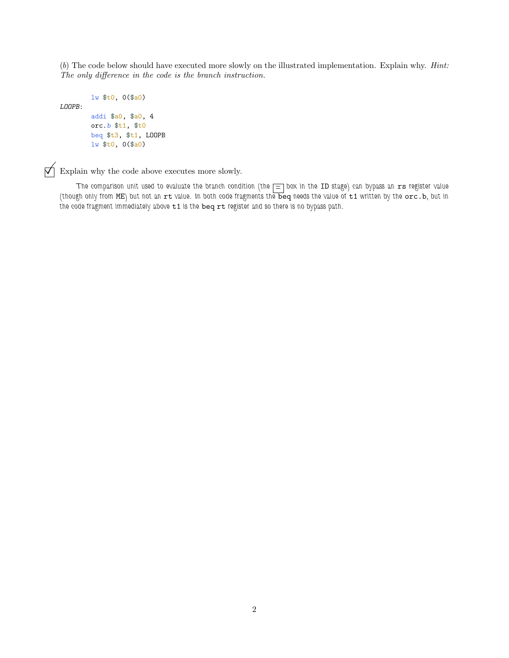(b) The code below should have executed more slowly on the illustrated implementation. Explain why. Hint: The only difference in the code is the branch instruction.

```
lw $t0, 0($a0)
LOOPB:
       addi $a0, $a0, 4
       orc.b $t1, $t0
       beq $t3, $t1, LOOPB
       lw $t0, 0($a0)
```
 $\overrightarrow{\bigtriangledown}$  Explain why the code above executes more slowly.

The comparison unit used to evaluate the branch condition (the  $\equiv$  box in the ID stage) can bypass an  ${\tt rs}$  register value (though only from ME) but not an  $rt$  value. In both code fragments the beq needs the value of  $t_1$  written by the  $\overline{or}$ . b, but in the code fragment immediately above  $t1$  is the beq rt register and so there is no bypass path.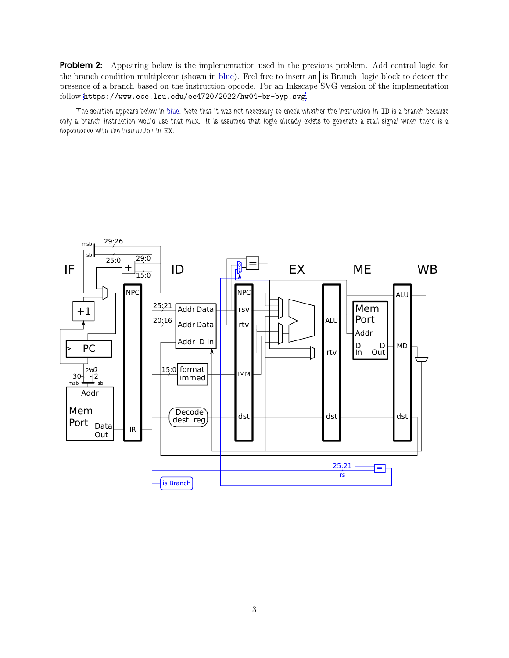Problem 2: Appearing below is the implementation used in the previous problem. Add control logic for the branch condition multiplexor (shown in blue). Feel free to insert an is Branch logic block to detect the presence of a branch based on the instruction opcode. For an Inkscape SVG version of the implementation follow <https://www.ece.lsu.edu/ee4720/2022/hw04-br-byp.svg>.

The solution appears below in blue. Note that it was not necessary to check whether the instruction in ID is a branch because only a branch instruction would use that mux. It is assumed that logic already exists to generate a stall signal when there is a dependence with the instruction in EX.

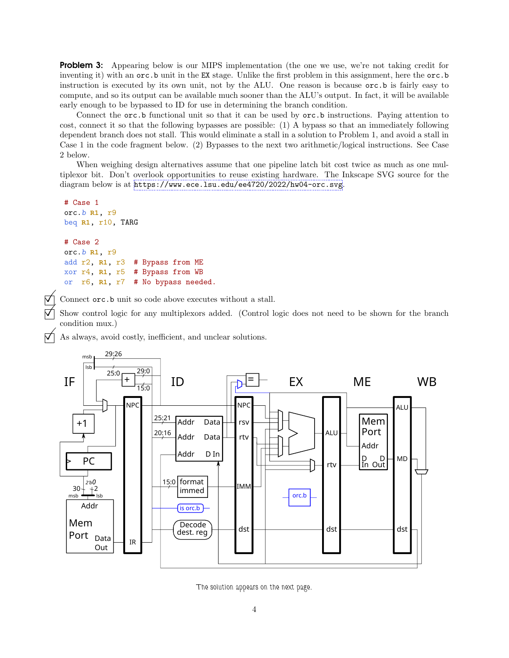**Problem 3:** Appearing below is our MIPS implementation (the one we use, we're not taking credit for inventing it) with an orc.b unit in the EX stage. Unlike the first problem in this assignment, here the orc.b instruction is executed by its own unit, not by the ALU. One reason is because orc.b is fairly easy to compute, and so its output can be available much sooner than the ALU's output. In fact, it will be available early enough to be bypassed to ID for use in determining the branch condition.

Connect the orc.b functional unit so that it can be used by orc.b instructions. Paying attention to cost, connect it so that the following bypasses are possible: (1) A bypass so that an immediately following dependent branch does not stall. This would eliminate a stall in a solution to Problem 1, and avoid a stall in Case 1 in the code fragment below. (2) Bypasses to the next two arithmetic/logical instructions. See Case 2 below.

When weighing design alternatives assume that one pipeline latch bit cost twice as much as one multiplexor bit. Don't overlook opportunities to reuse existing hardware. The Inkscape SVG source for the diagram below is at <https://www.ece.lsu.edu/ee4720/2022/hw04-orc.svg>.

```
# Case 1
orc.b R1, r9
beq R1, r10, TARG
# Case 2
orc.b R1, r9
add r2, R1, r3 # Bypass from ME
xor r4, R1, r5 # Bypass from WB
or r6, R1, r7 # No bypass needed.
```
Connect orc.b unit so code above executes without a stall.

 Show control logic for any multiplexors added. (Control logic does not need to be shown for the branch condition mux.)

As always, avoid costly, inefficient, and unclear solutions.



The solution appears on the next page.